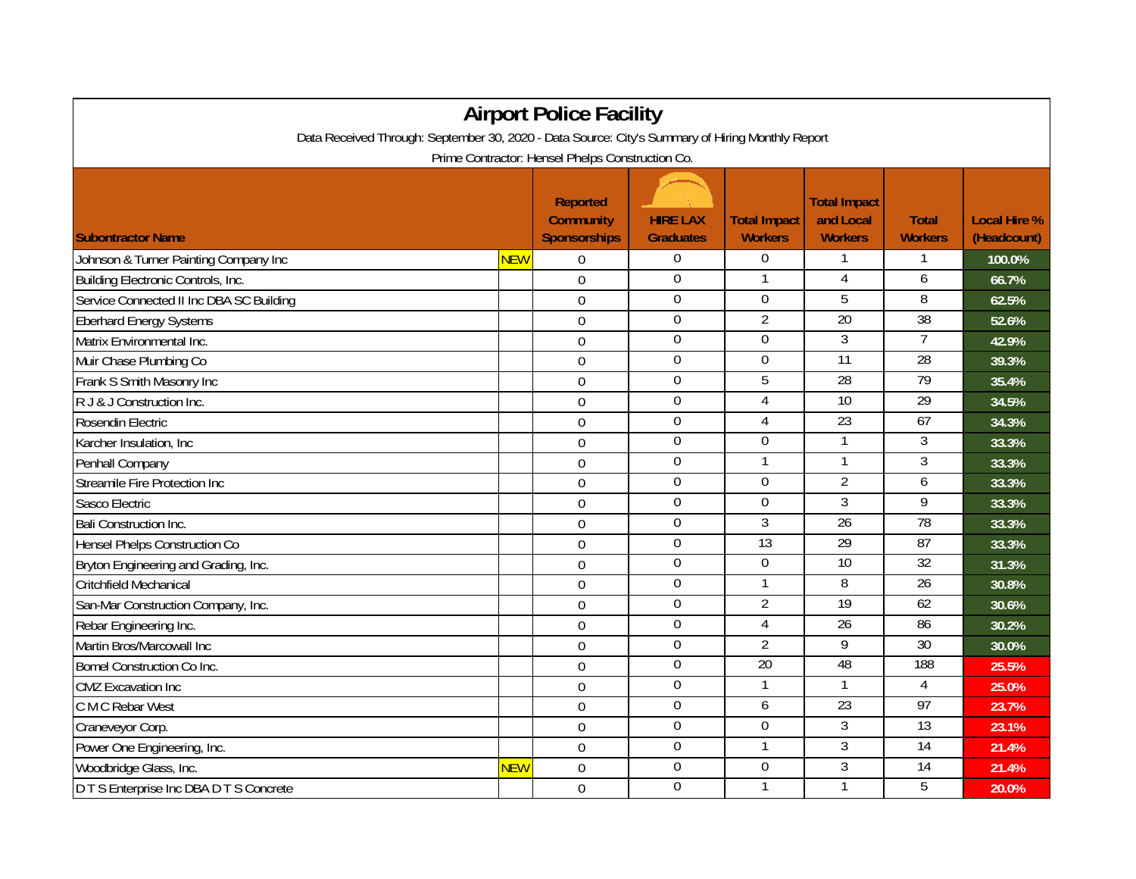| <b>Airport Police Facility</b>                                                                                                                       |            |                |                  |                  |                 |                 |        |  |  |  |  |  |
|------------------------------------------------------------------------------------------------------------------------------------------------------|------------|----------------|------------------|------------------|-----------------|-----------------|--------|--|--|--|--|--|
| Data Received Through: September 30, 2020 - Data Source: City's Summary of Hiring Monthly Report<br>Prime Contractor: Hensel Phelps Construction Co. |            |                |                  |                  |                 |                 |        |  |  |  |  |  |
|                                                                                                                                                      |            |                |                  |                  |                 |                 |        |  |  |  |  |  |
| Johnson & Turner Painting Company Inc                                                                                                                | <b>NEW</b> | $\Omega$       | $\boldsymbol{0}$ | $\overline{0}$   |                 |                 | 100.0% |  |  |  |  |  |
| Building Electronic Controls, Inc.                                                                                                                   |            | $\mathbf 0$    | $\overline{0}$   | 1                | 4               | 6               | 66.7%  |  |  |  |  |  |
| Service Connected II Inc DBA SC Building                                                                                                             |            | $\overline{0}$ | $\mathbf 0$      | $\mathbf 0$      | $\overline{5}$  | 8               | 62.5%  |  |  |  |  |  |
| <b>Eberhard Energy Systems</b>                                                                                                                       |            | 0              | $\overline{0}$   | $\overline{2}$   | 20              | 38              | 52.6%  |  |  |  |  |  |
| Matrix Environmental Inc.                                                                                                                            |            | $\Omega$       | $\boldsymbol{0}$ | $\Omega$         | $\overline{3}$  | $\overline{7}$  | 42.9%  |  |  |  |  |  |
| Muir Chase Plumbing Co                                                                                                                               |            | $\mathbf 0$    | $\mathbf 0$      | $\boldsymbol{0}$ | $\overline{11}$ | $\overline{28}$ | 39.3%  |  |  |  |  |  |
| Frank S Smith Masonry Inc                                                                                                                            |            | $\mathbf 0$    | $\boldsymbol{0}$ | 5                | 28              | 79              | 35.4%  |  |  |  |  |  |
| R J & J Construction Inc.                                                                                                                            |            | $\mathbf 0$    | $\overline{0}$   | 4                | 10              | 29              | 34.5%  |  |  |  |  |  |
| Rosendin Electric                                                                                                                                    |            | $\mathbf 0$    | $\mathbf 0$      | $\overline{4}$   | $\overline{23}$ | 67              | 34.3%  |  |  |  |  |  |
| Karcher Insulation, Inc.                                                                                                                             |            | 0              | $\overline{0}$   | $\overline{0}$   | 1               | $\overline{3}$  | 33.3%  |  |  |  |  |  |
| Penhall Company                                                                                                                                      |            | $\mathbf 0$    | $\Omega$         |                  | 1               | 3               | 33.3%  |  |  |  |  |  |
| Streamile Fire Protection Inc                                                                                                                        |            | $\mathbf 0$    | $\boldsymbol{0}$ | $\Omega$         | 2               | 6               | 33.3%  |  |  |  |  |  |
| Sasco Electric                                                                                                                                       |            | $\mathbf 0$    | $\boldsymbol{0}$ | $\mathbf 0$      | $\overline{3}$  | 9               | 33.3%  |  |  |  |  |  |
| <b>Bali Construction Inc.</b>                                                                                                                        |            | $\mathbf 0$    | $\mathbf 0$      | 3                | 26              | 78              | 33.3%  |  |  |  |  |  |
| Hensel Phelps Construction Co                                                                                                                        |            | $\overline{0}$ | $\mathbf 0$      | $\overline{13}$  | 29              | $\overline{87}$ | 33.3%  |  |  |  |  |  |
| Bryton Engineering and Grading, Inc.                                                                                                                 |            | 0              | $\overline{0}$   | $\overline{0}$   | 10              | 32              | 31.3%  |  |  |  |  |  |
| <b>Critchfield Mechanical</b>                                                                                                                        |            | $\overline{0}$ | $\Omega$         |                  | 8               | 26              | 30.8%  |  |  |  |  |  |
| San-Mar Construction Company, Inc.                                                                                                                   |            | $\mathbf 0$    | $\boldsymbol{0}$ | $\overline{2}$   | 19              | 62              | 30.6%  |  |  |  |  |  |
| Rebar Engineering Inc.                                                                                                                               |            | $\mathbf 0$    | $\boldsymbol{0}$ | $\overline{4}$   | $\overline{26}$ | 86              | 30.2%  |  |  |  |  |  |
| Martin Bros/Marcowall Inc                                                                                                                            |            | $\mathbf 0$    | $\boldsymbol{0}$ | $\overline{2}$   | 9               | 30              | 30.0%  |  |  |  |  |  |
| <b>Bomel Construction Co Inc.</b>                                                                                                                    |            | $\mathbf 0$    | $\boldsymbol{0}$ | 20               | 48              | 188             | 25.5%  |  |  |  |  |  |
| <b>CMZ</b> Excavation Inc                                                                                                                            |            | $\Omega$       | $\overline{0}$   |                  | 1               | $\overline{4}$  | 25.0%  |  |  |  |  |  |
| C M C Rebar West                                                                                                                                     |            | $\mathbf 0$    | $\Omega$         | 6                | 23              | 97              | 23.7%  |  |  |  |  |  |
| Craneveyor Corp.                                                                                                                                     |            | $\mathbf 0$    | $\overline{0}$   | $\overline{0}$   | $\overline{3}$  | 13              | 23.1%  |  |  |  |  |  |
| Power One Engineering, Inc.                                                                                                                          |            | $\mathbf 0$    | $\overline{0}$   |                  | 3               | 14              | 21.4%  |  |  |  |  |  |
| Woodbridge Glass, Inc.                                                                                                                               | <b>NEW</b> | $\overline{0}$ | $\boldsymbol{0}$ | $\boldsymbol{0}$ | 3               | 14              | 21.4%  |  |  |  |  |  |
| D T S Enterprise Inc DBA D T S Concrete                                                                                                              |            | $\mathbf 0$    | $\mathbf 0$      | 1                | $\mathbf{1}$    | $\overline{5}$  | 20.0%  |  |  |  |  |  |